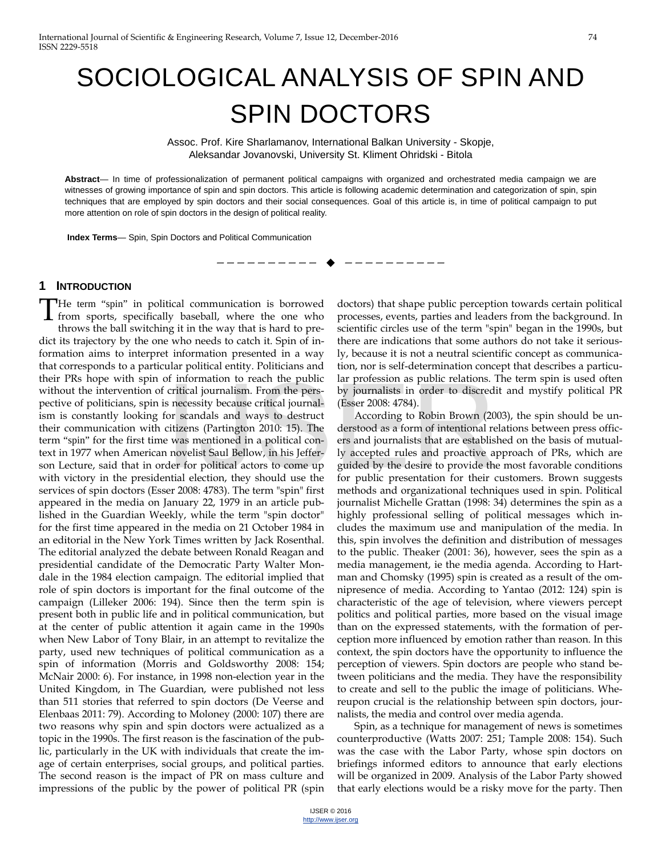# SOCIOLOGICAL ANALYSIS OF SPIN AND SPIN DOCTORS

Assoc. Prof. Kire Sharlamanov, International Balkan University - Skopje, Aleksandar Jovanovski, University St. Kliment Ohridski - Bitola

**Abstract**— In time of professionalization of permanent political campaigns with organized and orchestrated media campaign we are witnesses of growing importance of spin and spin doctors. This article is following academic determination and categorization of spin, spin techniques that are employed by spin doctors and their social consequences. Goal of this article is, in time of political campaign to put more attention on role of spin doctors in the design of political reality.

--------- ♦ ----------

**Index Terms**— Spin, Spin Doctors and Political Communication

## **1 INTRODUCTION**

He term "spin" in political communication is borrowed The term "spin" in political communication is borrowed<br>from sports, specifically baseball, where the one who throws the ball switching it in the way that is hard to predict its trajectory by the one who needs to catch it. Spin of information aims to interpret information presented in a way that corresponds to a particular political entity. Politicians and their PRs hope with spin of information to reach the public without the intervention of critical journalism. From the perspective of politicians, spin is necessity because critical journalism is constantly looking for scandals and ways to destruct their communication with citizens (Partington 2010: 15). The term "spin" for the first time was mentioned in a political context in 1977 when American novelist Saul Bellow, in his Jefferson Lecture, said that in order for political actors to come up with victory in the presidential election, they should use the services of spin doctors (Esser 2008: 4783). The term "spin" first appeared in the media on January 22, 1979 in an article published in the Guardian Weekly, while the term "spin doctor" for the first time appeared in the media on 21 October 1984 in an editorial in the New York Times written by Jack Rosenthal. The editorial analyzed the debate between Ronald Reagan and presidential candidate of the Democratic Party Walter Mondale in the 1984 election campaign. The editorial implied that role of spin doctors is important for the final outcome of the campaign (Lilleker 2006: 194). Since then the term spin is present both in public life and in political communication, but at the center of public attention it again came in the 1990s when New Labor of Tony Blair, in an attempt to revitalize the party, used new techniques of political communication as a spin of information (Morris and Goldsworthy 2008: 154; McNair 2000: 6). For instance, in 1998 non-election year in the United Kingdom, in The Guardian, were published not less than 511 stories that referred to spin doctors (De Veerse and Elenbaas 2011: 79). According to Moloney (2000: 107) there are two reasons why spin and spin doctors were actualized as a topic in the 1990s. The first reason is the fascination of the public, particularly in the UK with individuals that create the image of certain enterprises, social groups, and political parties. The second reason is the impact of PR on mass culture and impressions of the public by the power of political PR (spin Information to reach the pashe has procession as public relations.<br>
In the persentical journalism. From the persentical connections (Esser 2008: 4784).<br>
Ior scandals and ways to destruct According to Robin Brown (20<br>
citiz

doctors) that shape public perception towards certain political processes, events, parties and leaders from the background. In scientific circles use of the term "spin" began in the 1990s, but there are indications that some authors do not take it seriously, because it is not a neutral scientific concept as communication, nor is self-determination concept that describes a particular profession as public relations. The term spin is used often by journalists in order to discredit and mystify political PR (Esser 2008: 4784).

According to Robin Brown (2003), the spin should be understood as a form of intentional relations between press officers and journalists that are established on the basis of mutually accepted rules and proactive approach of PRs, which are guided by the desire to provide the most favorable conditions for public presentation for their customers. Brown suggests methods and organizational techniques used in spin. Political journalist Michelle Grattan (1998: 34) determines the spin as a highly professional selling of political messages which includes the maximum use and manipulation of the media. In this, spin involves the definition and distribution of messages to the public. Theaker (2001: 36), however, sees the spin as a media management, ie the media agenda. According to Hartman and Chomsky (1995) spin is created as a result of the omnipresence of media. According to Yantao (2012: 124) spin is characteristic of the age of television, where viewers percept politics and political parties, more based on the visual image than on the expressed statements, with the formation of perception more influenced by emotion rather than reason. In this context, the spin doctors have the opportunity to influence the perception of viewers. Spin doctors are people who stand between politicians and the media. They have the responsibility to create and sell to the public the image of politicians. Whereupon crucial is the relationship between spin doctors, journalists, the media and control over media agenda.

Spin, as a technique for management of news is sometimes counterproductive (Watts 2007: 251; Tample 2008: 154). Such was the case with the Labor Party, whose spin doctors on briefings informed editors to announce that early elections will be organized in 2009. Analysis of the Labor Party showed that early elections would be a risky move for the party. Then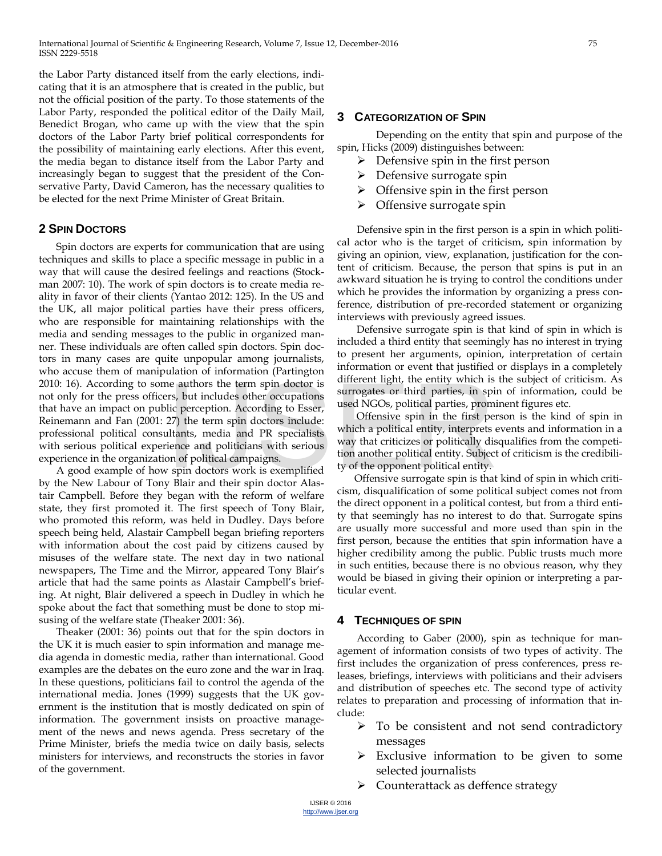the Labor Party distanced itself from the early elections, indicating that it is an atmosphere that is created in the public, but not the official position of the party. To those statements of the Labor Party, responded the political editor of the Daily Mail, Benedict Brogan, who came up with the view that the spin doctors of the Labor Party brief political correspondents for the possibility of maintaining early elections. After this event, the media began to distance itself from the Labor Party and increasingly began to suggest that the president of the Conservative Party, David Cameron, has the necessary qualities to be elected for the next Prime Minister of Great Britain.

## **2 SPIN DOCTORS**

Spin doctors are experts for communication that are using techniques and skills to place a specific message in public in a way that will cause the desired feelings and reactions (Stockman 2007: 10). The work of spin doctors is to create media reality in favor of their clients (Yantao 2012: 125). In the US and the UK, all major political parties have their press officers, who are responsible for maintaining relationships with the media and sending messages to the public in organized manner. These individuals are often called spin doctors. Spin doctors in many cases are quite unpopular among journalists, who accuse them of manipulation of information (Partington 2010: 16). According to some authors the term spin doctor is not only for the press officers, but includes other occupations that have an impact on public perception. According to Esser, Reinemann and Fan (2001: 27) the term spin doctors include: professional political consultants, media and PR specialists with serious political experience and politicians with serious experience in the organization of political campaigns. The authors the term spin doctor is<br>
Interest mynt, the entity which is<br>
III: perception. According to Esser,<br>
27) the term spin doctors include:<br>
Ultants, media and PR specialists<br>
which a political entity, interprets<br>
wa

A good example of how spin doctors work is exemplified by the New Labour of Tony Blair and their spin doctor Alastair Campbell. Before they began with the reform of welfare state, they first promoted it. The first speech of Tony Blair, who promoted this reform, was held in Dudley. Days before speech being held, Alastair Campbell began briefing reporters with information about the cost paid by citizens caused by misuses of the welfare state. The next day in two national newspapers, The Time and the Mirror, appeared Tony Blair's article that had the same points as Alastair Campbell's briefing. At night, Blair delivered a speech in Dudley in which he spoke about the fact that something must be done to stop misusing of the welfare state (Theaker 2001: 36).

Theaker (2001: 36) points out that for the spin doctors in the UK it is much easier to spin information and manage media agenda in domestic media, rather than international. Good examples are the debates on the euro zone and the war in Iraq. In these questions, politicians fail to control the agenda of the international media. Jones (1999) suggests that the UK government is the institution that is mostly dedicated on spin of information. The government insists on proactive management of the news and news agenda. Press secretary of the Prime Minister, briefs the media twice on daily basis, selects ministers for interviews, and reconstructs the stories in favor of the government.

### **3 CATEGORIZATION OF SPIN**

Depending on the entity that spin and purpose of the spin, Hicks (2009) distinguishes between:

- $\triangleright$  Defensive spin in the first person
- $\triangleright$  Defensive surrogate spin
- $\triangleright$  Offensive spin in the first person
- $\triangleright$  Offensive surrogate spin

Defensive spin in the first person is a spin in which political actor who is the target of criticism, spin information by giving an opinion, view, explanation, justification for the content of criticism. Because, the person that spins is put in an awkward situation he is trying to control the conditions under which he provides the information by organizing a press conference, distribution of pre-recorded statement or organizing interviews with previously agreed issues.

Defensive surrogate spin is that kind of spin in which is included a third entity that seemingly has no interest in trying to present her arguments, opinion, interpretation of certain information or event that justified or displays in a completely different light, the entity which is the subject of criticism. As surrogates or third parties, in spin of information, could be used NGOs, political parties, prominent figures etc.

Offensive spin in the first person is the kind of spin in which a political entity, interprets events and information in a way that criticizes or politically disqualifies from the competition another political entity. Subject of criticism is the credibility of the opponent political entity.

Offensive surrogate spin is that kind of spin in which criticism, disqualification of some political subject comes not from the direct opponent in a political contest, but from a third entity that seemingly has no interest to do that. Surrogate spins are usually more successful and more used than spin in the first person, because the entities that spin information have a higher credibility among the public. Public trusts much more in such entities, because there is no obvious reason, why they would be biased in giving their opinion or interpreting a particular event.

#### **4 TECHNIQUES OF SPIN**

According to Gaber (2000), spin as technique for management of information consists of two types of activity. The first includes the organization of press conferences, press releases, briefings, interviews with politicians and their advisers and distribution of speeches etc. The second type of activity relates to preparation and processing of information that include:

- $\triangleright$  To be consistent and not send contradictory messages
- $\triangleright$  Exclusive information to be given to some selected journalists
- $\triangleright$  Counterattack as deffence strategy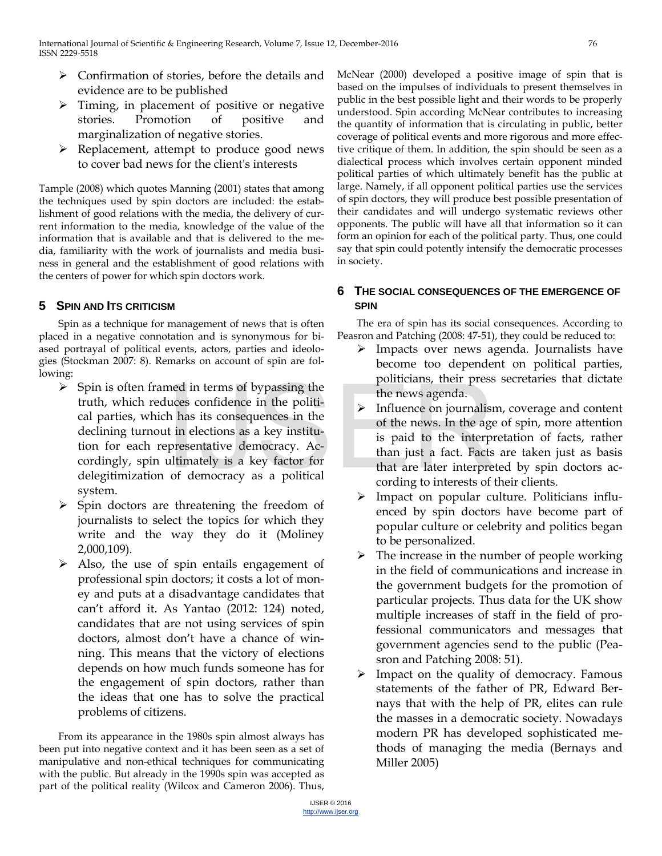- $\triangleright$  Confirmation of stories, before the details and evidence are to be published
- $\triangleright$  Timing, in placement of positive or negative stories. Promotion of positive and marginalization of negative stories.
- $\triangleright$  Replacement, attempt to produce good news to cover bad news for the client's interests

Tample (2008) which quotes Manning (2001) states that among the techniques used by spin doctors are included: the establishment of good relations with the media, the delivery of current information to the media, knowledge of the value of the information that is available and that is delivered to the media, familiarity with the work of journalists and media business in general and the establishment of good relations with the centers of power for which spin doctors work.

# **5 SPIN AND ITS CRITICISM**

Spin as a technique for management of news that is often placed in a negative connotation and is synonymous for biased portrayal of political events, actors, parties and ideologies (Stockman 2007: 8). Remarks on account of spin are following:

- $\triangleright$  Spin is often framed in terms of bypassing the truth, which reduces confidence in the political parties, which has its consequences in the declining turnout in elections as a key institution for each representative democracy. Accordingly, spin ultimately is a key factor for delegitimization of democracy as a political system. med in terms of bypassing the<br>
uces confidence in the politi-<br>
h has its consequences in the<br>
t in elections as a key institu-<br>
presentative democracy. Acultimately is a key factor for<br>
of the news. In the age<br>
is paid to
- $\triangleright$  Spin doctors are threatening the freedom of journalists to select the topics for which they write and the way they do it (Moliney 2,000,109).
- $\triangleright$  Also, the use of spin entails engagement of professional spin doctors; it costs a lot of money and puts at a disadvantage candidates that can't afford it. As Yantao (2012: 124) noted, candidates that are not using services of spin doctors, almost don't have a chance of winning. This means that the victory of elections depends on how much funds someone has for the engagement of spin doctors, rather than the ideas that one has to solve the practical problems of citizens.

From its appearance in the 1980s spin almost always has been put into negative context and it has been seen as a set of manipulative and non-ethical techniques for communicating with the public. But already in the 1990s spin was accepted as part of the political reality (Wilcox and Cameron 2006). Thus,

McNear (2000) developed a positive image of spin that is based on the impulses of individuals to present themselves in public in the best possible light and their words to be properly understood. Spin according McNear contributes to increasing the quantity of information that is circulating in public, better coverage of political events and more rigorous and more effective critique of them. In addition, the spin should be seen as a dialectical process which involves certain opponent minded political parties of which ultimately benefit has the public at large. Namely, if all opponent political parties use the services of spin doctors, they will produce best possible presentation of their candidates and will undergo systematic reviews other opponents. The public will have all that information so it can form an opinion for each of the political party. Thus, one could say that spin could potently intensify the democratic processes in society.

# **6 THE SOCIAL CONSEQUENCES OF THE EMERGENCE OF SPIN**

The era of spin has its social consequences. According to Peasron and Patching (2008: 47-51), they could be reduced to:

- $\triangleright$  Impacts over news agenda. Journalists have become too dependent on political parties, politicians, their press secretaries that dictate the news agenda.
- $\triangleright$  Influence on journalism, coverage and content of the news. In the age of spin, more attention is paid to the interpretation of facts, rather than just a fact. Facts are taken just as basis that are later interpreted by spin doctors according to interests of their clients.
- $\triangleright$  Impact on popular culture. Politicians influenced by spin doctors have become part of popular culture or celebrity and politics began to be personalized.
- $\triangleright$  The increase in the number of people working in the field of communications and increase in the government budgets for the promotion of particular projects. Thus data for the UK show multiple increases of staff in the field of professional communicators and messages that government agencies send to the public (Peasron and Patching 2008: 51).
- $\triangleright$  Impact on the quality of democracy. Famous statements of the father of PR, Edward Bernays that with the help of PR, elites can rule the masses in a democratic society. Nowadays modern PR has developed sophisticated methods of managing the media (Bernays and Miller 2005)